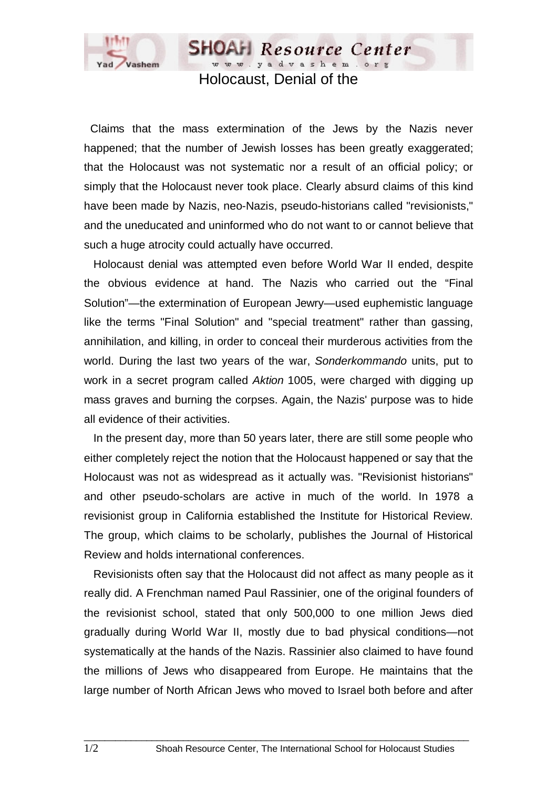

www.yadvashem.org Holocaust, Denial of the

**SHOAH** Resource Center

 Claims that the mass extermination of the Jews by the Nazis never happened; that the number of Jewish losses has been greatly exaggerated; that the Holocaust was not systematic nor a result of an official policy; or simply that the Holocaust never took place. Clearly absurd claims of this kind have been made by Nazis, neo-Nazis, pseudo-historians called "revisionists," and the uneducated and uninformed who do not want to or cannot believe that such a huge atrocity could actually have occurred.

 Holocaust denial was attempted even before World War II ended, despite the obvious evidence at hand. The Nazis who carried out the "Final Solution"—the extermination of European Jewry—used euphemistic language like the terms "Final Solution" and "special treatment" rather than gassing, annihilation, and killing, in order to conceal their murderous activities from the world. During the last two years of the war, *Sonderkommando* units, put to work in a secret program called *Aktion* 1005, were charged with digging up mass graves and burning the corpses. Again, the Nazis' purpose was to hide all evidence of their activities.

 In the present day, more than 50 years later, there are still some people who either completely reject the notion that the Holocaust happened or say that the Holocaust was not as widespread as it actually was. "Revisionist historians" and other pseudo-scholars are active in much of the world. In 1978 a revisionist group in California established the Institute for Historical Review. The group, which claims to be scholarly, publishes the Journal of Historical Review and holds international conferences.

 Revisionists often say that the Holocaust did not affect as many people as it really did. A Frenchman named Paul Rassinier, one of the original founders of the revisionist school, stated that only 500,000 to one million Jews died gradually during World War II, mostly due to bad physical conditions—not systematically at the hands of the Nazis. Rassinier also claimed to have found the millions of Jews who disappeared from Europe. He maintains that the large number of North African Jews who moved to Israel both before and after

 $\_$  ,  $\_$  ,  $\_$  ,  $\_$  ,  $\_$  ,  $\_$  ,  $\_$  ,  $\_$  ,  $\_$  ,  $\_$  ,  $\_$  ,  $\_$  ,  $\_$  ,  $\_$  ,  $\_$  ,  $\_$  ,  $\_$  ,  $\_$  ,  $\_$